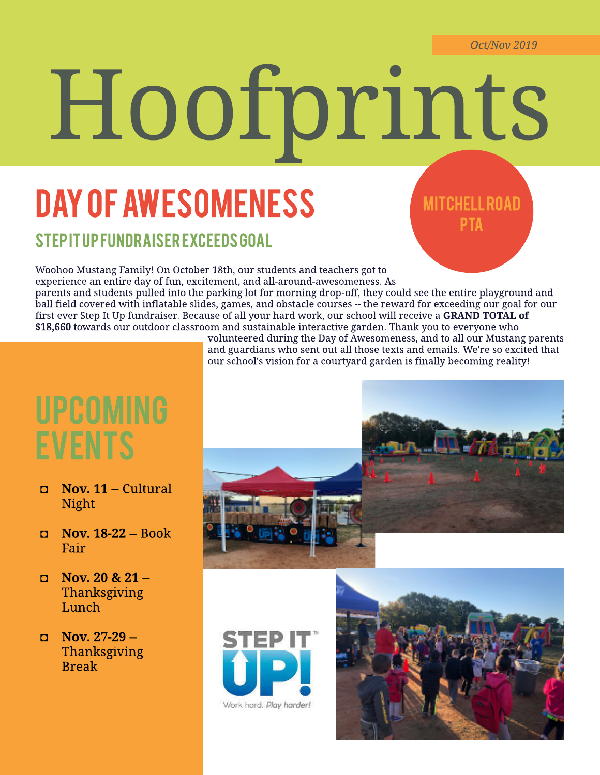# Hoofprints

# DAY OF AWESOMENESS

### **MITCHELL ROAD PTA**

#### STEP IT UP FUNDR AISER EXCEEDS GOAL

Woohoo Mustang Family! On October 18th, our students and teachers got to experience an entire day of fun, excitement, and all-around-awesomeness. As parents and students pulled into the parking lot for morning drop-off, they could see the entire playground and ball field covered with inflatable slides, games, and obstacle courses -- the reward for exceeding our goal for our first ever Step It Up fundraiser. Because of all your hard work, our school will receive a GRAND TOTAL of \$18,660 towards our outdoor classroom and sustainable interactive garden. Thank you to everyone who

## UPCOMING **EVENTS**

- Nov. 11 -- Cultural Night
- Nov. 18-22 -- Book Fair
- $\Box$  Nov. 20 & 21 --Thanksgiving Lunch
- $D$  Nov. 27-29 --Thanksgiving Break

volunteered during the Day of Awesomeness, and to all our Mustang parents and guardians who sent out all those texts and emails. We're so excited that our school's vision for a courtyard garden is finally becoming reality!





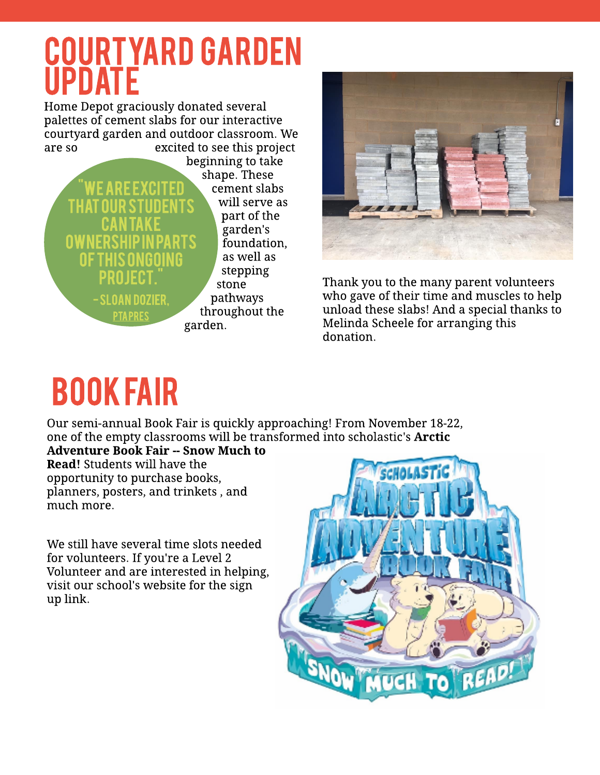## <u>COURT YARD GARDEN</u> **UPDATE**

Home Depot graciously donated several palettes of cement slabs for our interactive courtyard garden and outdoor classroom. We are so excited to see this project





Thank you to the many parent volunteers who gave of their time and muscles to help unload these slabs! And a special thanks to Melinda Scheele for arranging this donation.

# book fair

Our semi-annual Book Fair is quickly approaching! From November 18-22, one of the empty classrooms will be transformed into scholastic's **Arctic** 

Adventure Book Fair -- Snow Much to Read! Students will have the opportunity to purchase books, planners, posters, and trinkets, and much more.

We still have several time slots needed for volunteers. If you're a Level 2 Volunteer and are interested in helping, visit our school's website for the sign up link.